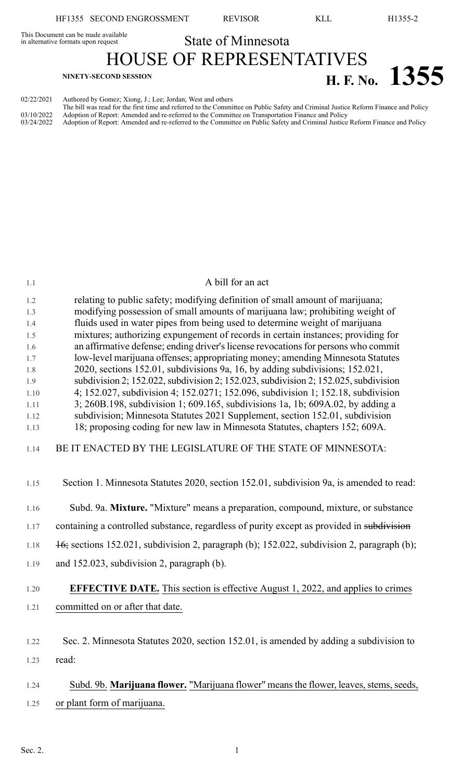This Document can be made available<br>in alternative formats upon request

State of Minnesota HOUSE OF REPRESENTATIVES **H. F.** No. **1355** 

| 02/22/2021               | Authored by Gomez; Xiong, J.; Lee; Jordan; West and others                                                                                                                                                                                                                                                                                                              |
|--------------------------|-------------------------------------------------------------------------------------------------------------------------------------------------------------------------------------------------------------------------------------------------------------------------------------------------------------------------------------------------------------------------|
| 03/10/2022<br>03/24/2022 | The bill was read for the first time and referred to the Committee on Public Safety and Criminal Justice Reform Finance and Policy<br>Adoption of Report: Amended and re-referred to the Committee on Transportation Finance and Policy<br>Adoption of Report: Amended and re-referred to the Committee on Public Safety and Criminal Justice Reform Finance and Policy |

| 1.1        | A bill for an act                                                                                                                                              |
|------------|----------------------------------------------------------------------------------------------------------------------------------------------------------------|
| 1.2<br>1.3 | relating to public safety; modifying definition of small amount of marijuana;<br>modifying possession of small amounts of marijuana law; prohibiting weight of |
| 1.4        | fluids used in water pipes from being used to determine weight of marijuana                                                                                    |
| 1.5        | mixtures; authorizing expungement of records in certain instances; providing for                                                                               |
| 1.6        | an affirmative defense; ending driver's license revocations for persons who commit                                                                             |
| 1.7        | low-level marijuana offenses; appropriating money; amending Minnesota Statutes                                                                                 |
| 1.8        | 2020, sections 152.01, subdivisions 9a, 16, by adding subdivisions; 152.021,                                                                                   |
| 1.9        | subdivision 2; 152.022, subdivision 2; 152.023, subdivision 2; 152.025, subdivision                                                                            |
| 1.10       | 4; 152.027, subdivision 4; 152.0271; 152.096, subdivision 1; 152.18, subdivision                                                                               |
| 1.11       | 3; 260B.198, subdivision 1; 609.165, subdivisions 1a, 1b; 609A.02, by adding a                                                                                 |
| 1.12       | subdivision; Minnesota Statutes 2021 Supplement, section 152.01, subdivision                                                                                   |
| 1.13       | 18; proposing coding for new law in Minnesota Statutes, chapters 152; 609A.                                                                                    |
| 1.14       | BE IT ENACTED BY THE LEGISLATURE OF THE STATE OF MINNESOTA:                                                                                                    |
| 1.15       | Section 1. Minnesota Statutes 2020, section 152.01, subdivision 9a, is amended to read:                                                                        |
| 1.16       | Subd. 9a. Mixture. "Mixture" means a preparation, compound, mixture, or substance                                                                              |
| 1.17       | containing a controlled substance, regardless of purity except as provided in subdivision                                                                      |
| 1.18       | 46; sections 152.021, subdivision 2, paragraph (b); 152.022, subdivision 2, paragraph (b);                                                                     |
| 1.19       | and 152.023, subdivision 2, paragraph (b).                                                                                                                     |
| 1.20       | <b>EFFECTIVE DATE.</b> This section is effective August 1, 2022, and applies to crimes                                                                         |
| 1.21       | committed on or after that date.                                                                                                                               |
|            |                                                                                                                                                                |
| 1.22       | Sec. 2. Minnesota Statutes 2020, section 152.01, is amended by adding a subdivision to                                                                         |
| 1.23       | read:                                                                                                                                                          |
|            |                                                                                                                                                                |
| 1.24       | Subd. 9b. Marijuana flower. "Marijuana flower" means the flower, leaves, stems, seeds,                                                                         |
| 1.25       | or plant form of marijuana.                                                                                                                                    |
|            |                                                                                                                                                                |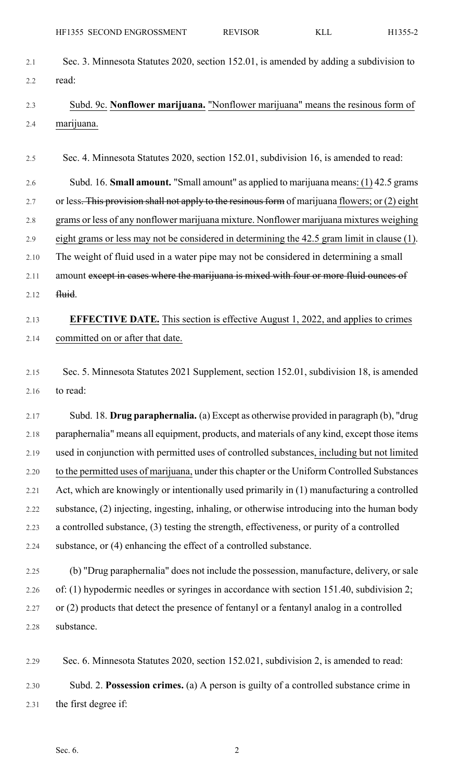2.1 Sec. 3. Minnesota Statutes 2020, section 152.01, is amended by adding a subdivision to 2.2 read:

## 2.3 Subd. 9c. **Nonflower marijuana.** "Nonflower marijuana" means the resinous form of 2.4 marijuana.

2.5 Sec. 4. Minnesota Statutes 2020, section 152.01, subdivision 16, is amended to read:

2.6 Subd. 16. **Small amount.** "Small amount" as applied to marijuana means: (1) 42.5 grams

2.7 or less. This provision shall not apply to the resinous form of marijuana flowers; or (2) eight

2.8 grams or less of any nonflower marijuana mixture. Nonflower marijuana mixtures weighing

2.9 eight grams or less may not be considered in determining the 42.5 gram limit in clause (1).

2.10 The weight of fluid used in a water pipe may not be considered in determining a small

- 2.11 amount except in cases where the marijuana is mixed with four or more fluid ounces of
- 2.12 <del>fluid</del>.

## 2.13 **EFFECTIVE DATE.** This section is effective August 1, 2022, and applies to crimes 2.14 committed on or after that date.

2.15 Sec. 5. Minnesota Statutes 2021 Supplement, section 152.01, subdivision 18, is amended 2.16 to read:

2.17 Subd. 18. **Drug paraphernalia.** (a) Except as otherwise provided in paragraph (b), "drug 2.18 paraphernalia" means all equipment, products, and materials of any kind, except those items 2.19 used in conjunction with permitted uses of controlled substances, including but not limited 2.20 to the permitted uses of marijuana, under this chapter or the Uniform Controlled Substances 2.21 Act, which are knowingly or intentionally used primarily in (1) manufacturing a controlled 2.22 substance, (2) injecting, ingesting, inhaling, or otherwise introducing into the human body 2.23 a controlled substance, (3) testing the strength, effectiveness, or purity of a controlled 2.24 substance, or (4) enhancing the effect of a controlled substance.

2.25 (b) "Drug paraphernalia" does not include the possession, manufacture, delivery, or sale 2.26 of: (1) hypodermic needles or syringes in accordance with section 151.40, subdivision 2; 2.27 or (2) products that detect the presence of fentanyl or a fentanyl analog in a controlled 2.28 substance.

2.29 Sec. 6. Minnesota Statutes 2020, section 152.021, subdivision 2, is amended to read: 2.30 Subd. 2. **Possession crimes.** (a) A person is guilty of a controlled substance crime in 2.31 the first degree if: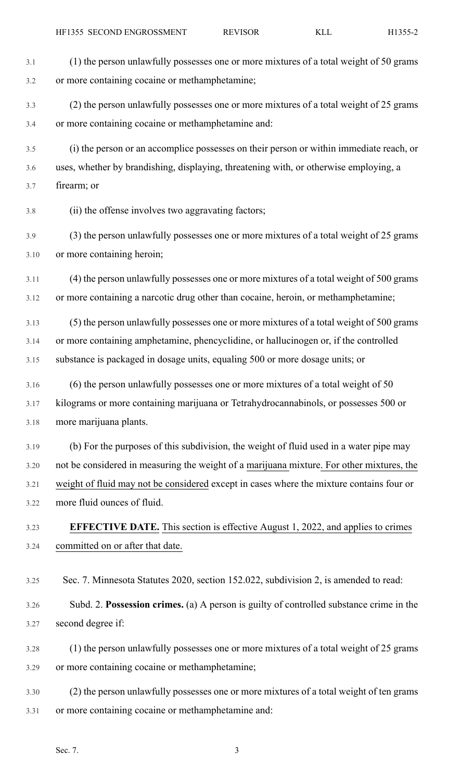| 3.1  | (1) the person unlawfully possesses one or more mixtures of a total weight of 50 grams    |
|------|-------------------------------------------------------------------------------------------|
| 3.2  | or more containing cocaine or methamphetamine;                                            |
| 3.3  | (2) the person unlawfully possesses one or more mixtures of a total weight of 25 grams    |
| 3.4  | or more containing cocaine or methamphetamine and:                                        |
| 3.5  | (i) the person or an accomplice possesses on their person or within immediate reach, or   |
| 3.6  | uses, whether by brandishing, displaying, threatening with, or otherwise employing, a     |
| 3.7  | firearm; or                                                                               |
| 3.8  | (ii) the offense involves two aggravating factors;                                        |
| 3.9  | (3) the person unlawfully possesses one or more mixtures of a total weight of 25 grams    |
| 3.10 | or more containing heroin;                                                                |
| 3.11 | (4) the person unlawfully possesses one or more mixtures of a total weight of 500 grams   |
| 3.12 | or more containing a narcotic drug other than cocaine, heroin, or methamphetamine;        |
| 3.13 | (5) the person unlawfully possesses one or more mixtures of a total weight of 500 grams   |
| 3.14 | or more containing amphetamine, phencyclidine, or hallucinogen or, if the controlled      |
| 3.15 | substance is packaged in dosage units, equaling 500 or more dosage units; or              |
| 3.16 | (6) the person unlawfully possesses one or more mixtures of a total weight of 50          |
| 3.17 | kilograms or more containing marijuana or Tetrahydrocannabinols, or possesses 500 or      |
| 3.18 | more marijuana plants.                                                                    |
| 3.19 | (b) For the purposes of this subdivision, the weight of fluid used in a water pipe may    |
| 3.20 | not be considered in measuring the weight of a marijuana mixture. For other mixtures, the |
| 3.21 | weight of fluid may not be considered except in cases where the mixture contains four or  |
| 3.22 | more fluid ounces of fluid.                                                               |
| 3.23 | <b>EFFECTIVE DATE.</b> This section is effective August 1, 2022, and applies to crimes    |
| 3.24 | committed on or after that date.                                                          |
| 3.25 | Sec. 7. Minnesota Statutes 2020, section 152.022, subdivision 2, is amended to read:      |
| 3.26 | Subd. 2. Possession crimes. (a) A person is guilty of controlled substance crime in the   |
| 3.27 | second degree if:                                                                         |
| 3.28 | (1) the person unlawfully possesses one or more mixtures of a total weight of 25 grams    |
| 3.29 | or more containing cocaine or methamphetamine;                                            |
| 3.30 | (2) the person unlawfully possesses one or more mixtures of a total weight of ten grams   |
| 3.31 | or more containing cocaine or methamphetamine and:                                        |
|      |                                                                                           |
|      | Sec. 7.<br>3                                                                              |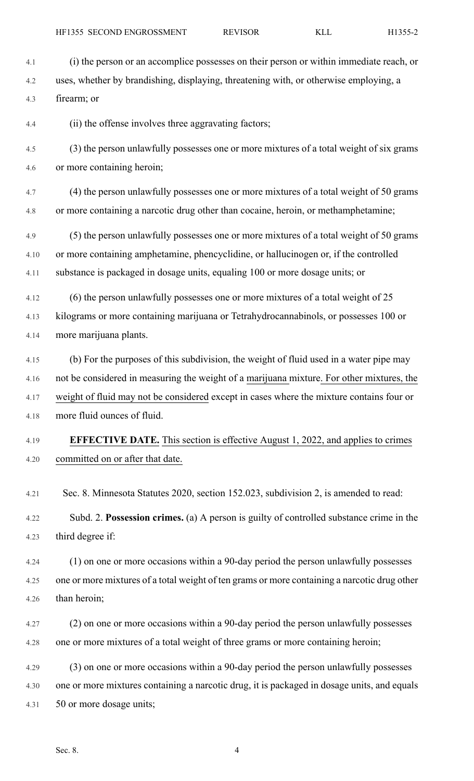- 4.1 (i) the person or an accomplice possesses on their person or within immediate reach, or 4.2 uses, whether by brandishing, displaying, threatening with, or otherwise employing, a 4.3 firearm; or 4.4 (ii) the offense involves three aggravating factors; 4.5 (3) the person unlawfully possesses one or more mixtures of a total weight of six grams 4.6 or more containing heroin;
	- 4.7 (4) the person unlawfully possesses one or more mixtures of a total weight of 50 grams 4.8 or more containing a narcotic drug other than cocaine, heroin, or methamphetamine;
	- 4.9 (5) the person unlawfully possesses one or more mixtures of a total weight of 50 grams 4.10 or more containing amphetamine, phencyclidine, or hallucinogen or, if the controlled 4.11 substance is packaged in dosage units, equaling 100 or more dosage units; or
	- 4.12 (6) the person unlawfully possesses one or more mixtures of a total weight of 25 4.13 kilograms or more containing marijuana or Tetrahydrocannabinols, or possesses 100 or 4.14 more marijuana plants.
	- 4.15 (b) For the purposes of this subdivision, the weight of fluid used in a water pipe may 4.16 not be considered in measuring the weight of a marijuana mixture. For other mixtures, the 4.17 weight of fluid may not be considered except in cases where the mixture contains four or 4.18 more fluid ounces of fluid.
	- 4.19 **EFFECTIVE DATE.** This section is effective August 1, 2022, and applies to crimes 4.20 committed on or after that date.
	- 4.21 Sec. 8. Minnesota Statutes 2020, section 152.023, subdivision 2, is amended to read:
	- 4.22 Subd. 2. **Possession crimes.** (a) A person is guilty of controlled substance crime in the 4.23 third degree if:
	- 4.24 (1) on one or more occasions within a 90-day period the person unlawfully possesses 4.25 one or more mixtures of a total weight of ten grams or more containing a narcotic drug other 4.26 than heroin;
	- 4.27 (2) on one or more occasions within a 90-day period the person unlawfully possesses 4.28 one or more mixtures of a total weight of three grams or more containing heroin;
	- 4.29 (3) on one or more occasions within a 90-day period the person unlawfully possesses 4.30 one or more mixtures containing a narcotic drug, it is packaged in dosage units, and equals 4.31 50 or more dosage units;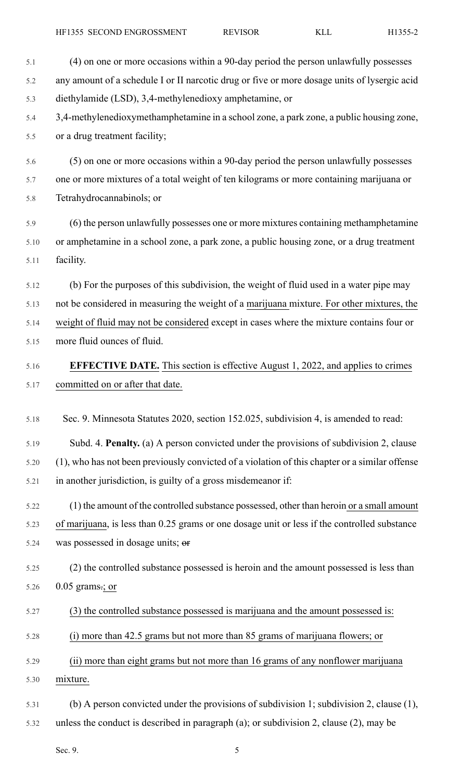5.1 (4) on one or more occasions within a 90-day period the person unlawfully possesses 5.2 any amount of a schedule I or II narcotic drug or five or more dosage units of lysergic acid 5.3 diethylamide (LSD), 3,4-methylenedioxy amphetamine, or 5.4 3,4-methylenedioxymethamphetamine in a school zone, a park zone, a public housing zone, 5.5 or a drug treatment facility; 5.6 (5) on one or more occasions within a 90-day period the person unlawfully possesses 5.7 one or more mixtures of a total weight of ten kilograms or more containing marijuana or 5.8 Tetrahydrocannabinols; or 5.9 (6) the person unlawfully possesses one or more mixtures containing methamphetamine 5.10 or amphetamine in a school zone, a park zone, a public housing zone, or a drug treatment 5.11 facility. 5.12 (b) For the purposes of this subdivision, the weight of fluid used in a water pipe may 5.13 not be considered in measuring the weight of a marijuana mixture. For other mixtures, the 5.14 weight of fluid may not be considered except in cases where the mixture contains four or 5.15 more fluid ounces of fluid. 5.16 **EFFECTIVE DATE.** This section is effective August 1, 2022, and applies to crimes 5.17 committed on or after that date. 5.18 Sec. 9. Minnesota Statutes 2020, section 152.025, subdivision 4, is amended to read: 5.19 Subd. 4. **Penalty.** (a) A person convicted under the provisions of subdivision 2, clause 5.20 (1), who has not been previously convicted of a violation of this chapter or a similar offense 5.21 in another jurisdiction, is guilty of a gross misdemeanor if: 5.22 (1) the amount of the controlled substance possessed, other than heroin or a small amount 5.23 of marijuana, is less than 0.25 grams or one dosage unit or less if the controlled substance 5.24 was possessed in dosage units; or 5.25 (2) the controlled substance possessed is heroin and the amount possessed is less than 5.26 0.05 grams.; or 5.27 (3) the controlled substance possessed is marijuana and the amount possessed is: 5.28 (i) more than 42.5 grams but not more than 85 grams of marijuana flowers; or 5.29 (ii) more than eight grams but not more than 16 grams of any nonflower marijuana 5.30 mixture. 5.31 (b) A person convicted under the provisions of subdivision 1; subdivision 2, clause (1), 5.32 unless the conduct is described in paragraph (a); or subdivision 2, clause (2), may be

Sec. 9.  $5$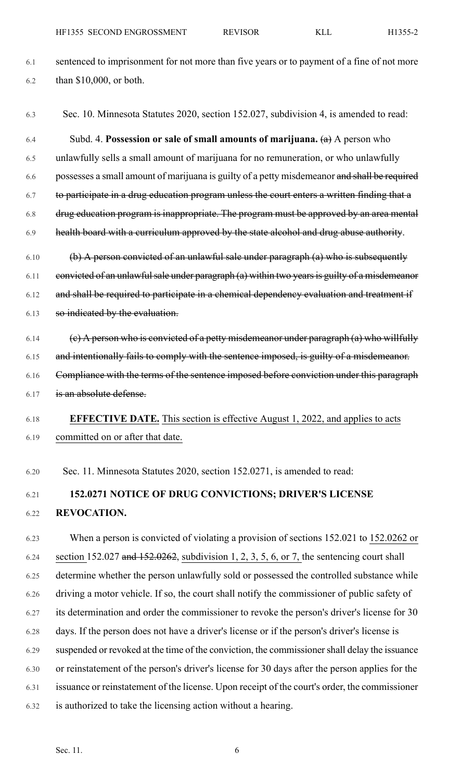- 6.1 sentenced to imprisonment for not more than five years or to payment of a fine of not more 6.2 than \$10,000, or both.
- 6.3 Sec. 10. Minnesota Statutes 2020, section 152.027, subdivision 4, is amended to read:

6.4 Subd. 4. **Possession or sale of small amounts of marijuana.** (a) A person who 6.5 unlawfully sells a small amount of marijuana for no remuneration, or who unlawfully 6.6 possesses a small amount of marijuana is guilty of a petty misdemeanor and shall be required 6.7 to participate in a drug education program unless the court enters a written finding that a 6.8 drug education program is inappropriate. The program must be approved by an area mental 6.9 health board with a curriculum approved by the state alcohol and drug abuse authority.  $6.10$  (b) A person convicted of an unlawful sale under paragraph (a) who is subsequently  $6.11$  convicted of an unlawful sale under paragraph (a) within two years is guilty of a misdemeanor

6.12 and shall be required to participate in a chemical dependency evaluation and treatment if 6.13 so indicated by the evaluation.

- 6.14 (c) A person who is convicted of a petty misdemeanor under paragraph  $(a)$  who willfully 6.15 and intentionally fails to comply with the sentence imposed, is guilty of a misdemeanor. 6.16 Compliance with the terms of the sentence imposed before conviction under this paragraph 6.17 is an absolute defense.
- 6.18 **EFFECTIVE DATE.** This section is effective August 1, 2022, and applies to acts 6.19 committed on or after that date.
- 6.20 Sec. 11. Minnesota Statutes 2020, section 152.0271, is amended to read:

#### 6.21 **152.0271 NOTICE OF DRUG CONVICTIONS; DRIVER'S LICENSE** 6.22 **REVOCATION.**

6.23 When a person is convicted of violating a provision of sections 152.021 to 152.0262 or 6.24 section 152.027 and  $152.0262$ , subdivision 1, 2, 3, 5, 6, or 7, the sentencing court shall 6.25 determine whether the person unlawfully sold or possessed the controlled substance while 6.26 driving a motor vehicle. If so, the court shall notify the commissioner of public safety of 6.27 its determination and order the commissioner to revoke the person's driver's license for 30 6.28 days. If the person does not have a driver's license or if the person's driver's license is 6.29 suspended or revoked at the time of the conviction, the commissionershall delay the issuance 6.30 or reinstatement of the person's driver's license for 30 days after the person applies for the 6.31 issuance or reinstatement of the license. Upon receipt of the court's order, the commissioner 6.32 is authorized to take the licensing action without a hearing.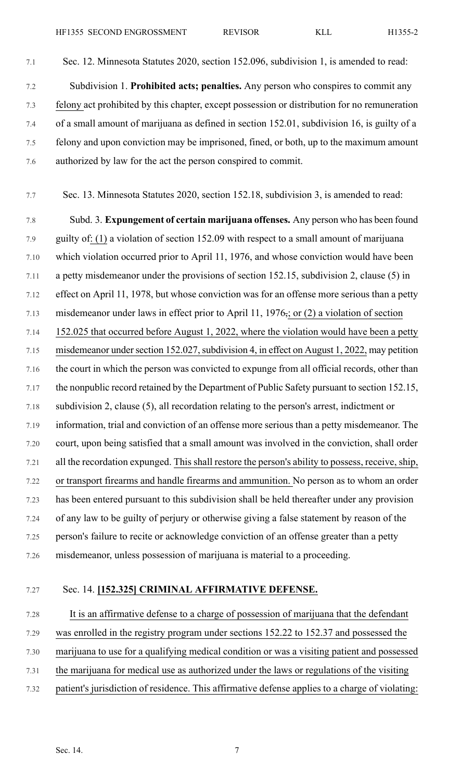7.1 Sec. 12. Minnesota Statutes 2020, section 152.096, subdivision 1, is amended to read: 7.2 Subdivision 1. **Prohibited acts; penalties.** Any person who conspires to commit any 7.3 felony act prohibited by this chapter, except possession or distribution for no remuneration 7.4 of a small amount of marijuana as defined in section 152.01, subdivision 16, is guilty of a

7.5 felony and upon conviction may be imprisoned, fined, or both, up to the maximum amount 7.6 authorized by law for the act the person conspired to commit.

7.7 Sec. 13. Minnesota Statutes 2020, section 152.18, subdivision 3, is amended to read:

7.8 Subd. 3. **Expungement of certain marijuana offenses.** Any person who has been found 7.9 guilty of: (1) a violation of section 152.09 with respect to a small amount of marijuana 7.10 which violation occurred prior to April 11, 1976, and whose conviction would have been 7.11 a petty misdemeanor under the provisions of section 152.15, subdivision 2, clause (5) in 7.12 effect on April 11, 1978, but whose conviction was for an offense more serious than a petty 7.13 misdemeanor under laws in effect prior to April 11, 1976, or (2) a violation of section 7.14 152.025 that occurred before August 1, 2022, where the violation would have been a petty 7.15 misdemeanor under section 152.027, subdivision 4, in effect on August 1, 2022, may petition 7.16 the court in which the person was convicted to expunge from all official records, other than 7.17 the nonpublic record retained by the Department of Public Safety pursuant to section 152.15, 7.18 subdivision 2, clause (5), all recordation relating to the person's arrest, indictment or 7.19 information, trial and conviction of an offense more serious than a petty misdemeanor. The 7.20 court, upon being satisfied that a small amount was involved in the conviction, shall order 7.21 all the recordation expunged. This shall restore the person's ability to possess, receive, ship, 7.22 or transport firearms and handle firearms and ammunition. No person as to whom an order 7.23 has been entered pursuant to this subdivision shall be held thereafter under any provision 7.24 of any law to be guilty of perjury or otherwise giving a false statement by reason of the 7.25 person's failure to recite or acknowledge conviction of an offense greater than a petty 7.26 misdemeanor, unless possession of marijuana is material to a proceeding.

#### 7.27 Sec. 14. **[152.325] CRIMINAL AFFIRMATIVE DEFENSE.**

7.28 It is an affirmative defense to a charge of possession of marijuana that the defendant 7.29 was enrolled in the registry program under sections 152.22 to 152.37 and possessed the 7.30 marijuana to use for a qualifying medical condition or was a visiting patient and possessed 7.31 the marijuana for medical use as authorized under the laws or regulations of the visiting 7.32 patient's jurisdiction of residence. This affirmative defense applies to a charge of violating: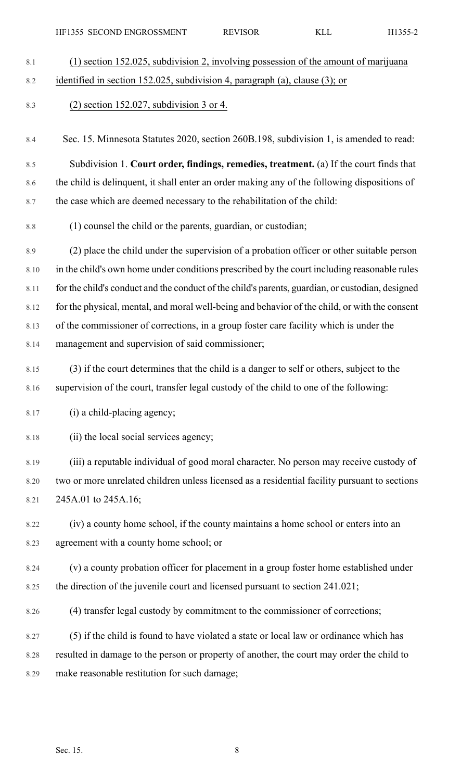| H1355- |
|--------|
|        |

| (1) section 152.025, subdivision 2, involving possession of the amount of marijuana              |
|--------------------------------------------------------------------------------------------------|
| identified in section 152.025, subdivision 4, paragraph (a), clause (3); or                      |
| $(2)$ section 152.027, subdivision 3 or 4.                                                       |
| Sec. 15. Minnesota Statutes 2020, section 260B.198, subdivision 1, is amended to read:           |
| Subdivision 1. Court order, findings, remedies, treatment. (a) If the court finds that           |
| the child is delinquent, it shall enter an order making any of the following dispositions of     |
| the case which are deemed necessary to the rehabilitation of the child:                          |
| (1) counsel the child or the parents, guardian, or custodian;                                    |
| (2) place the child under the supervision of a probation officer or other suitable person        |
| in the child's own home under conditions prescribed by the court including reasonable rules      |
| for the child's conduct and the conduct of the child's parents, guardian, or custodian, designed |
| for the physical, mental, and moral well-being and behavior of the child, or with the consent    |
| of the commissioner of corrections, in a group foster care facility which is under the           |
| management and supervision of said commissioner;                                                 |
| (3) if the court determines that the child is a danger to self or others, subject to the         |
| supervision of the court, transfer legal custody of the child to one of the following:           |
| (i) a child-placing agency;                                                                      |
| (ii) the local social services agency;                                                           |
| (iii) a reputable individual of good moral character. No person may receive custody of           |
| two or more unrelated children unless licensed as a residential facility pursuant to sections    |
| 245A.01 to 245A.16;                                                                              |
| (iv) a county home school, if the county maintains a home school or enters into an               |
| agreement with a county home school; or                                                          |
| (v) a county probation officer for placement in a group foster home established under            |
| the direction of the juvenile court and licensed pursuant to section 241.021;                    |
| (4) transfer legal custody by commitment to the commissioner of corrections;                     |
| (5) if the child is found to have violated a state or local law or ordinance which has           |
| resulted in damage to the person or property of another, the court may order the child to        |
| make reasonable restitution for such damage;                                                     |
|                                                                                                  |
| Sec. 15.<br>8                                                                                    |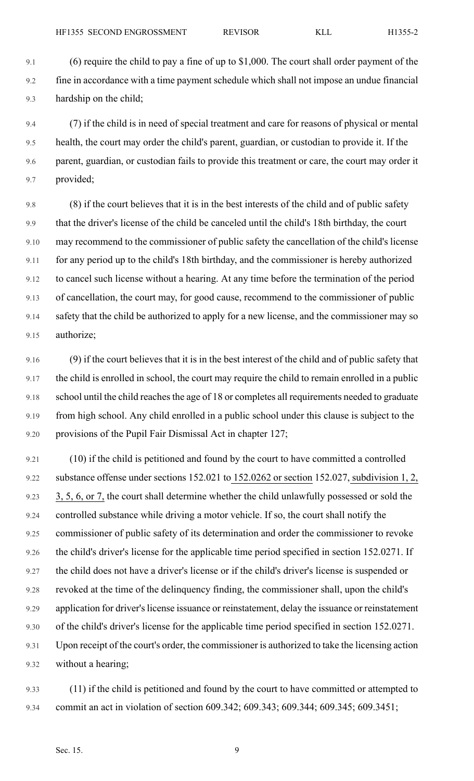9.1 (6) require the child to pay a fine of up to \$1,000. The court shall order payment of the 9.2 fine in accordance with a time payment schedule which shall not impose an undue financial 9.3 hardship on the child;

9.4 (7) if the child is in need of special treatment and care for reasons of physical or mental 9.5 health, the court may order the child's parent, guardian, or custodian to provide it. If the 9.6 parent, guardian, or custodian fails to provide this treatment or care, the court may order it 9.7 provided;

9.8 (8) if the court believes that it is in the best interests of the child and of public safety 9.9 that the driver's license of the child be canceled until the child's 18th birthday, the court 9.10 may recommend to the commissioner of public safety the cancellation of the child's license 9.11 for any period up to the child's 18th birthday, and the commissioner is hereby authorized 9.12 to cancel such license without a hearing. At any time before the termination of the period 9.13 of cancellation, the court may, for good cause, recommend to the commissioner of public 9.14 safety that the child be authorized to apply for a new license, and the commissioner may so 9.15 authorize;

9.16 (9) if the court believes that it is in the best interest of the child and of public safety that 9.17 the child is enrolled in school, the court may require the child to remain enrolled in a public 9.18 school until the child reaches the age of 18 or completes all requirements needed to graduate 9.19 from high school. Any child enrolled in a public school under this clause is subject to the 9.20 provisions of the Pupil Fair Dismissal Act in chapter 127;

9.21 (10) if the child is petitioned and found by the court to have committed a controlled 9.22 substance offense under sections 152.021 to 152.0262 or section 152.027, subdivision 1, 2, 9.23 3, 5, 6, or 7, the court shall determine whether the child unlawfully possessed or sold the 9.24 controlled substance while driving a motor vehicle. If so, the court shall notify the 9.25 commissioner of public safety of its determination and order the commissioner to revoke 9.26 the child's driver's license for the applicable time period specified in section 152.0271. If 9.27 the child does not have a driver's license or if the child's driver's license is suspended or 9.28 revoked at the time of the delinquency finding, the commissioner shall, upon the child's 9.29 application for driver's license issuance or reinstatement, delay the issuance or reinstatement 9.30 of the child's driver's license for the applicable time period specified in section 152.0271. 9.31 Upon receipt of the court's order, the commissioner is authorized to take the licensing action 9.32 without a hearing;

9.33 (11) if the child is petitioned and found by the court to have committed or attempted to 9.34 commit an act in violation of section 609.342; 609.343; 609.344; 609.345; 609.3451;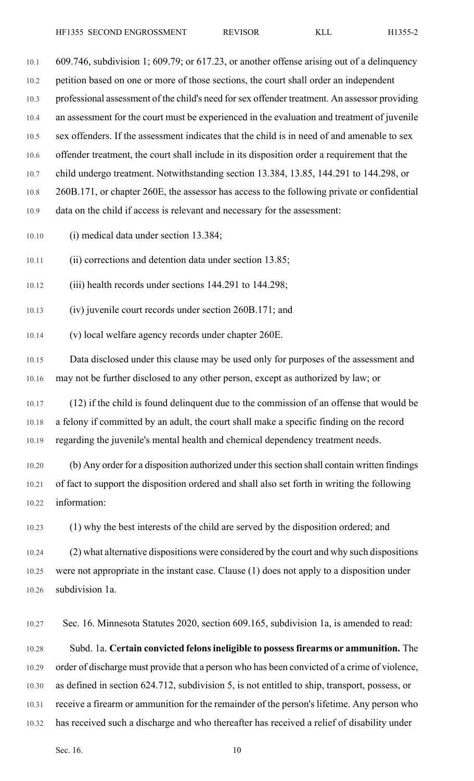10.1 609.746, subdivision 1; 609.79; or 617.23, or another offense arising out of a delinquency 10.2 petition based on one or more of those sections, the court shall order an independent 10.3 professional assessment of the child's need forsex offender treatment. An assessor providing 10.4 an assessment for the court must be experienced in the evaluation and treatment of juvenile 10.5 sex offenders. If the assessment indicates that the child is in need of and amenable to sex 10.6 offender treatment, the court shall include in its disposition order a requirement that the 10.7 child undergo treatment. Notwithstanding section 13.384, 13.85, 144.291 to 144.298, or 10.8 260B.171, or chapter 260E, the assessor has access to the following private or confidential 10.9 data on the child if access is relevant and necessary for the assessment:

10.10 (i) medical data under section 13.384;

10.11 (ii) corrections and detention data under section 13.85;

10.12 (iii) health records under sections 144.291 to 144.298;

10.13 (iv) juvenile court records under section 260B.171; and

10.14 (v) local welfare agency records under chapter 260E.

10.15 Data disclosed under this clause may be used only for purposes of the assessment and 10.16 may not be further disclosed to any other person, except as authorized by law; or

10.17 (12) if the child is found delinquent due to the commission of an offense that would be 10.18 a felony if committed by an adult, the court shall make a specific finding on the record 10.19 regarding the juvenile's mental health and chemical dependency treatment needs.

10.20 (b) Any order for a disposition authorized under thissection shall contain written findings 10.21 of fact to support the disposition ordered and shall also set forth in writing the following 10.22 information:

10.23 (1) why the best interests of the child are served by the disposition ordered; and

10.24 (2) what alternative dispositions were considered by the court and why such dispositions 10.25 were not appropriate in the instant case. Clause (1) does not apply to a disposition under 10.26 subdivision 1a.

10.27 Sec. 16. Minnesota Statutes 2020, section 609.165, subdivision 1a, is amended to read:

10.28 Subd. 1a. **Certain convicted felonsineligible to possessfirearms or ammunition.** The 10.29 order of discharge must provide that a person who has been convicted of a crime of violence, 10.30 as defined in section 624.712, subdivision 5, is not entitled to ship, transport, possess, or 10.31 receive a firearm or ammunition for the remainder of the person's lifetime. Any person who 10.32 has received such a discharge and who thereafter has received a relief of disability under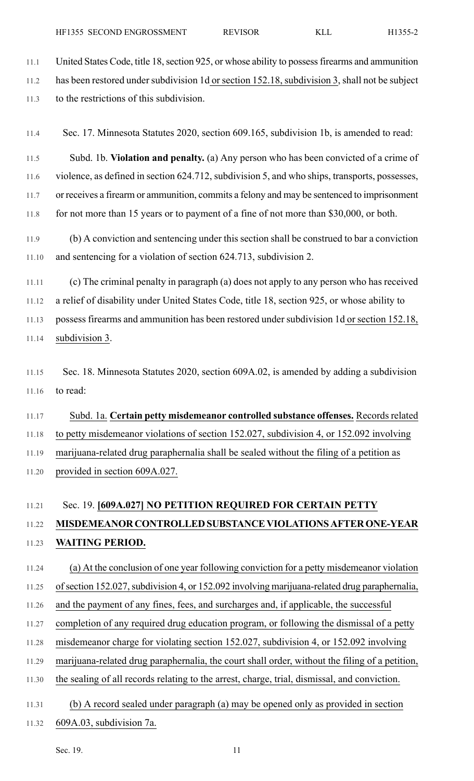11.1 United States Code, title 18, section 925, or whose ability to possess firearms and ammunition 11.2 has been restored under subdivision 1d or section 152.18, subdivision 3, shall not be subject 11.3 to the restrictions of this subdivision.

11.4 Sec. 17. Minnesota Statutes 2020, section 609.165, subdivision 1b, is amended to read:

11.5 Subd. 1b. **Violation and penalty.** (a) Any person who has been convicted of a crime of 11.6 violence, as defined in section 624.712, subdivision 5, and who ships, transports, possesses, 11.7 or receives a firearm or ammunition, commits a felony and may be sentenced to imprisonment

11.8 for not more than 15 years or to payment of a fine of not more than \$30,000, or both.

11.9 (b) A conviction and sentencing under this section shall be construed to bar a conviction 11.10 and sentencing for a violation of section 624.713, subdivision 2.

11.11 (c) The criminal penalty in paragraph (a) does not apply to any person who has received 11.12 a relief of disability under United States Code, title 18, section 925, or whose ability to 11.13 possess firearms and ammunition has been restored under subdivision 1d or section 152.18, 11.14 subdivision 3.

11.15 Sec. 18. Minnesota Statutes 2020, section 609A.02, is amended by adding a subdivision 11.16 to read:

11.17 Subd. 1a. **Certain petty misdemeanor controlled substance offenses.** Recordsrelated 11.18 to petty misdemeanor violations of section 152.027, subdivision 4, or 152.092 involving 11.19 marijuana-related drug paraphernalia shall be sealed without the filing of a petition as 11.20 provided in section 609A.027.

#### 11.21 Sec. 19. **[609A.027] NO PETITION REQUIRED FOR CERTAIN PETTY**

# 11.22 **MISDEMEANOR CONTROLLED SUBSTANCE VIOLATIONS AFTERONE-YEAR** 11.23 **WAITING PERIOD.**

11.24 (a) At the conclusion of one year following conviction for a petty misdemeanor violation

11.25 of section 152.027, subdivision 4, or 152.092 involving marijuana-related drug paraphernalia,

11.26 and the payment of any fines, fees, and surcharges and, if applicable, the successful

- 11.27 completion of any required drug education program, or following the dismissal of a petty
- 11.28 misdemeanor charge for violating section 152.027, subdivision 4, or 152.092 involving
- 11.29 marijuana-related drug paraphernalia, the court shall order, without the filing of a petition,
- 11.30 the sealing of all records relating to the arrest, charge, trial, dismissal, and conviction.
- 11.31 (b) A record sealed under paragraph (a) may be opened only as provided in section
- 11.32 609A.03, subdivision 7a.